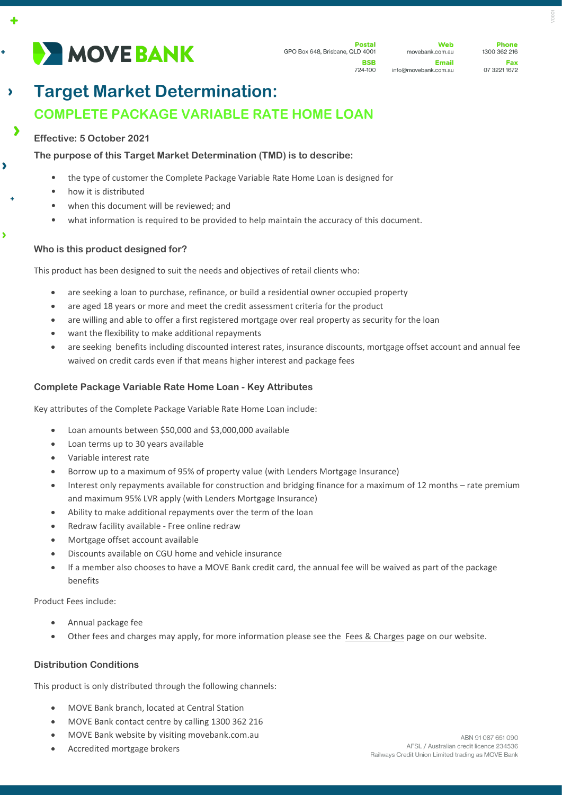

**Phone** 1300 362 216 Eav 07 3221 1672

#### **Target Market Determination:**   $\lambda$ **COMPLETE PACKAGE VARIABLE RATE HOME LOAN**  $\blacktriangleright$

## **Effective: 5 October 2021**

4

÷

 $\blacktriangleright$ 

 $\overline{\phantom{a}}$ 

## **The purpose of this Target Market Determination (TMD) is to describe:**

- the type of customer the Complete Package Variable Rate Home Loan is designed for
- how it is distributed
- when this document will be reviewed; and
- what information is required to be provided to help maintain the accuracy of this document.

#### **Who is this product designed for?**

This product has been designed to suit the needs and objectives of retail clients who:

- are seeking a loan to purchase, refinance, or build a residential owner occupied property
- are aged 18 years or more and meet the credit assessment criteria for the product
- are willing and able to offer a first registered mortgage over real property as security for the loan
- want the flexibility to make additional repayments
- are seeking benefits including discounted interest rates, insurance discounts, mortgage offset account and annual fee waived on credit cards even if that means higher interest and package fees

# **Complete Package Variable Rate Home Loan - Key Attributes**

Key attributes of the Complete Package Variable Rate Home Loan include:

- Loan amounts between \$50,000 and \$3,000,000 available
- Loan terms up to 30 years available
- Variable interest rate
- Borrow up to a maximum of 95% of property value (with Lenders Mortgage Insurance)
- Interest only repayments available for construction and bridging finance for a maximum of 12 months rate premium and maximum 95% LVR apply (with Lenders Mortgage Insurance)
- Ability to make additional repayments over the term of the loan
- Redraw facility available Free online redraw
- Mortgage offset account available
- Discounts available on CGU home and vehicle insurance
- If a member also chooses to have a MOVE Bank credit card, the annual fee will be waived as part of the package benefits

Product Fees include:

- Annual package fee
- Other fees and charges may apply, for more information please see the [Fees & Charges](https://movebank.com.au/quick-links/fees-charges/) page on our website.

## **Distribution Conditions**

This product is only distributed through the following channels:

- MOVE Bank branch, located at Central Station
- MOVE Bank contact centre by calling 1300 362 216
- MOVE Bank website by visiting movebank.com.au
- Accredited mortgage brokers